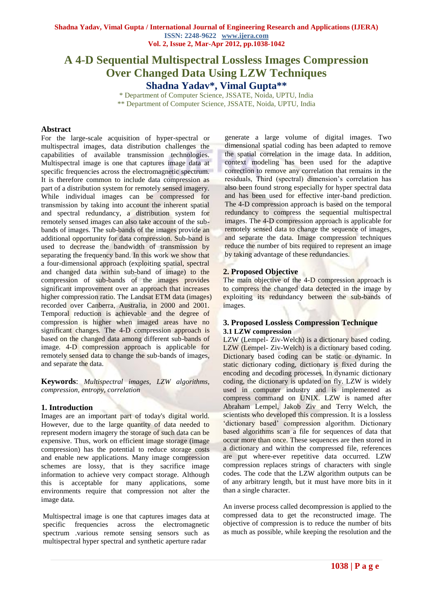# **A 4-D Sequential Multispectral Lossless Images Compression Over Changed Data Using LZW Techniques Shadna Yadav\* , Vimal Gupta\*\***

\* Department of Computer Science, JSSATE, Noida, UPTU, India \*\* Department of Computer Science, JSSATE, Noida, UPTU, India

# **Abstract**

For the large-scale acquisition of hyper-spectral or multispectral images, data distribution challenges the capabilities of available transmission technologies. Multispectral image is one that captures image data at specific frequencies across the electromagnetic spectrum. It is therefore common to include data compression as part of a distribution system for remotely sensed imagery. While individual images can be compressed for transmission by taking into account the inherent spatial and spectral redundancy, a distribution system for remotely sensed images can also take account of the subbands of images. The sub-bands of the images provide an additional opportunity for data compression. Sub-band is used to decrease the bandwidth of transmission by separating the frequency band. In this work we show that a four-dimensional approach (exploiting spatial, spectral and changed data within sub-band of image) to the compression of sub-bands of the images provides significant improvement over an approach that increases higher compression ratio. The Landsat ETM data (images) recorded over Canberra, Australia, in 2000 and 2001. Temporal reduction is achievable and the degree of compression is higher when imaged areas have no significant changes*.* The 4-D compression approach is based on the changed data among different sub-bands of image. 4-D compression approach is applicable for remotely sensed data to change the sub-bands of images, and separate the data.

**Keywords**: *Multispectral images, LZW algorithms, compression, entropy, correlation*

# **1. Introduction**

Images are an important part of today's digital world. However, due to the large quantity of data needed to represent modern imagery the storage of such data can be expensive. Thus, work on efficient image storage (image compression) has the potential to reduce storage costs and enable new applications. Many image compression schemes are lossy, that is they sacrifice image information to achieve very compact storage. Although this is acceptable for many applications, some environments require that compression not alter the image data.

Multispectral image is one that captures images data at specific frequencies across the electromagnetic spectrum .various remote sensing sensors such as multispectral hyper spectral and synthetic aperture radar

generate a large volume of digital images. Two dimensional spatial coding has been adapted to remove the spatial correlation in the image data. In addition, context modeling has been used for the adaptive correction to remove any correlation that remains in the residuals, Third (spectral) dimension's correlation has also been found strong especially for hyper spectral data and has been used for effective inter-band prediction. The 4-D compression approach is based on the temporal redundancy to compress the sequential multispectral images. The 4-D compression approach is applicable for remotely sensed data to change the sequence of images, and separate the data. Image compression techniques reduce the number of bits required to represent an image by taking advantage of these redundancies.

# **2. Proposed Objective**

The main objective of the 4-D compression approach is to compress the changed data detected in the image by exploiting its redundancy between the sub-bands of images.

# **3. Proposed Lossless Compression Technique 3.1 LZW compression**

LZW (Lempel- Ziv-Welch) is a dictionary based coding. LZW (Lempel- Ziv-Welch) is a dictionary based coding. Dictionary based coding can be static or dynamic. In static dictionary coding, dictionary is fixed during the encoding and decoding processes. In dynamic dictionary coding, the dictionary is updated on fly. LZW is widely used in computer industry and is implemented as compress command on UNIX. LZW is named after Abraham Lempel, Jakob Ziv and Terry Welch, the scientists who developed this compression. It is a lossless 'dictionary based' compression algorithm. Dictionary based algorithms scan a file for sequences of data that occur more than once. These sequences are then stored in a dictionary and within the compressed file, references are put where-ever repetitive data occurred. LZW compression replaces strings of characters with single codes. The code that the LZW algorithm outputs can be of any arbitrary length, but it must have more bits in it than a single character.

An inverse process called decompression is applied to the compressed data to get the reconstructed image. The objective of compression is to reduce the number of bits as much as possible, while keeping the resolution and the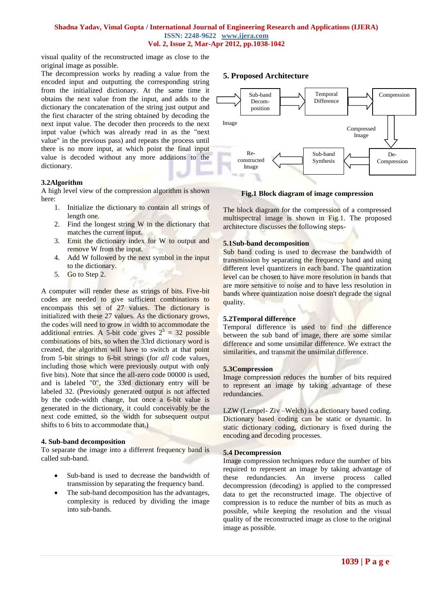# **Shadna Yadav, Vimal Gupta / International Journal of Engineering Research and Applications (IJERA) ISSN: 2248-9622 www.ijera.com Vol. 2, Issue 2, Mar-Apr 2012, pp.1038-1042**

visual quality of the reconstructed image as close to the original image as possible.

The decompression works by reading a value from the encoded input and outputting the corresponding string from the initialized dictionary. At the same time it obtains the next value from the input, and adds to the dictionary the concatenation of the string just output and the first character of the string obtained by decoding the next input value. The decoder then proceeds to the next input value (which was already read in as the "next value" in the previous pass) and repeats the process until there is no more input, at which point the final input value is decoded without any more additions to the dictionary.

# **3.2Algorithm**

A high level view of the compression algorithm is shown here:

- 1. Initialize the dictionary to contain all strings of length one.
- 2. Find the longest string W in the dictionary that matches the current input.
- 3. Emit the dictionary index for W to output and remove W from the input.
- 4. Add W followed by the next symbol in the input to the dictionary.
- 5. Go to Step 2.

A computer will render these as strings of bits. Five-bit codes are needed to give sufficient combinations to encompass this set of 27 values. The dictionary is initialized with these 27 values. As the dictionary grows, the codes will need to grow in width to accommodate the additional entries. A 5-bit code gives  $2^5 = 32$  possible combinations of bits, so when the 33rd dictionary word is created, the algorithm will have to switch at that point from 5-bit strings to 6-bit strings (for *all* code values, including those which were previously output with only five bits). Note that since the all-zero code 00000 is used, and is labeled "0", the 33rd dictionary entry will be labeled 32. (Previously generated output is not affected by the code-width change, but once a 6-bit value is generated in the dictionary, it could conceivably be the next code emitted, so the width for subsequent output shifts to 6 bits to accommodate that.)

#### **4. Sub-band decomposition**

To separate the image into a different frequency band is called sub-band.

- Sub-band is used to decrease the bandwidth of transmission by separating the frequency band.
- The sub-band decomposition has the advantages, complexity is reduced by dividing the image into sub-bands.

# **5. Proposed Architecture**



#### **Fig.1 Block diagram of image compression**

The block diagram for the compression of a compressed multispectral image is shown in Fig.1. The proposed architecture discusses the following steps-

# **5.1Sub-band decomposition**

Sub band coding is used to decrease the bandwidth of transmission by separating the frequency band and using different level quantizers in each band. The quantization level can be chosen to have more resolution in bands that are more sensitive to noise and to have less resolution in bands where quantization noise doesn't degrade the signal quality.

#### **5.2Temporal difference**

Temporal difference is used to find the difference between the sub band of image, there are some similar difference and some unsimilar difference. We extract the similarities, and transmit the unsimilar difference.

#### **5.3Compression**

Image compression reduces the number of bits required to represent an image by taking advantage of these redundancies.

LZW (Lempel- Ziv –Welch) is a dictionary based coding. Dictionary based coding can be static or dynamic. In static dictionary coding, dictionary is fixed during the encoding and decoding processes.

#### **5.4 Decompression**

Image compression techniques reduce the number of bits required to represent an image by taking advantage of these redundancies. An inverse process called decompression (decoding) is applied to the compressed data to get the reconstructed image. The objective of compression is to reduce the number of bits as much as possible, while keeping the resolution and the visual quality of the reconstructed image as close to the original image as possible.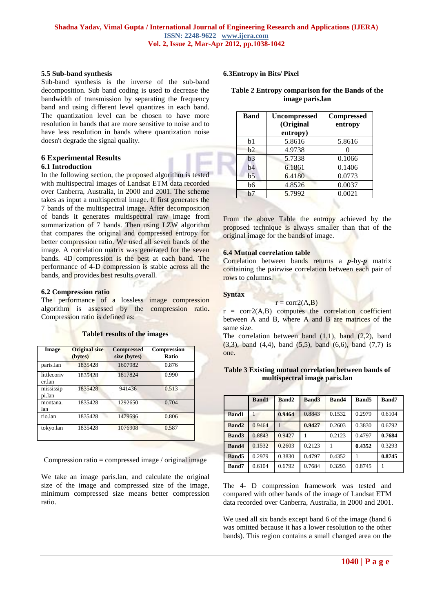#### **5.5 Sub-band synthesis**

Sub-band synthesis is the inverse of the sub-band decomposition. Sub band coding is used to decrease the bandwidth of transmission by separating the frequency band and using different level quantizes in each band. The quantization level can be chosen to have more resolution in bands that are more sensitive to noise and to have less resolution in bands where quantization noise doesn't degrade the signal quality.

#### **6 Experimental Results 6.1 Introduction**

In the following section, the proposed algorithm is tested with multispectral images of Landsat ETM data recorded over Canberra, Australia, in 2000 and 2001. The scheme takes as input a multispectral image. It first generates the 7 bands of the multispectral image. After decomposition of bands it generates multispectral raw image from summarization of 7 bands. Then using LZW algorithm that compares the original and compressed entropy for better compression ratio. We used all seven bands of the image. A correlation matrix was generated for the seven bands. 4D compression is the best at each band. The performance of 4-D compression is stable across all the bands, and provides best results overall.

## **6.2 Compression ratio**

The performance of a lossless image compression algorithm is assessed by the compression ratio**.**  Compression ratio is defined as:

| Image                 | <b>Original size</b><br>(bytes) | <b>Compressed</b><br>size (bytes) | <b>Compression</b><br>Ratio |  |
|-----------------------|---------------------------------|-----------------------------------|-----------------------------|--|
| paris.lan             | 1835428                         | 1607982                           | 0.876                       |  |
| littlecoriv<br>er.lan | 1835428                         | 1817824                           | 0.990                       |  |
| mississip<br>pi.lan   | 1835428                         | 941436                            | 0.513                       |  |
| montana.<br>lan       | 1835428                         | 1292650                           | 0.704                       |  |
| rio.lan               | 1835428                         | 1479596                           | 0.806                       |  |
| tokyo.lan             | 1835428                         | 1076908                           | 0.587                       |  |

**Table1 results of the images**

Compression ratio = compressed image / original image

We take an image paris.lan, and calculate the original size of the image and compressed size of the image, minimum compressed size means better compression ratio.

# **6.3Entropy in Bits/ Pixel**

#### **Table 2 Entropy comparison for the Bands of the image paris.lan**

| <b>Band</b>    | <b>Uncompressed</b><br>(Original<br>entropy) | <b>Compressed</b><br>entropy |  |  |
|----------------|----------------------------------------------|------------------------------|--|--|
| b1             | 5.8616                                       | 5.8616                       |  |  |
| b <sub>2</sub> | 4.9738                                       |                              |  |  |
| b <sub>3</sub> | 5.7338                                       | 0.1066                       |  |  |
| b4             | 6.1861                                       | 0.1406                       |  |  |
| b <sub>5</sub> | 6.4180                                       | 0.0773                       |  |  |
| b6             | 4.8526                                       | 0.0037                       |  |  |
| b7             | 5.7992                                       | 0.0021                       |  |  |

From the above Table the entropy achieved by the proposed technique is always smaller than that of the original image for the bands of image.

## **6.4 Mutual correlation table**

Correlation between bands returns a *p*-by-*p* matrix containing the pairwise correlation between each pair of rows to columns.

# **Syntax**

#### $r = \text{corr2}(A, B)$

 $r = \text{corr2}(A,B)$  computes the correlation coefficient between A and B, where A and B are matrices of the same size.

The correlation between band  $(1,1)$ , band  $(2,2)$ , band  $(3,3)$ , band  $(4,4)$ , band  $(5,5)$ , band  $(6,6)$ , band  $(7,7)$  is one.

## **Table 3 Existing mutual correlation between bands of multispectral image paris.lan**

|              | <b>Band1</b> | <b>Band2</b> | <b>Band3</b> | Band4  | <b>Band5</b> | <b>Band7</b> |
|--------------|--------------|--------------|--------------|--------|--------------|--------------|
| <b>Band1</b> |              | 0.9464       | 0.8843       | 0.1532 | 0.2979       | 0.6104       |
| <b>Band2</b> | 0.9464       |              | 0.9427       | 0.2603 | 0.3830       | 0.6792       |
| <b>Band3</b> | 0.8843       | 0.9427       |              | 0.2123 | 0.4797       | 0.7684       |
| <b>Band4</b> | 0.1532       | 0.2603       | 0.2123       |        | 0.4352       | 0.3293       |
| <b>Band5</b> | 0.2979       | 0.3830       | 0.4797       | 0.4352 |              | 0.8745       |
| Band7        | 0.6104       | 0.6792       | 0.7684       | 0.3293 | 0.8745       |              |

The 4- D compression framework was tested and compared with other bands of the image of Landsat ETM data recorded over Canberra, Australia, in 2000 and 2001.

We used all six bands except band 6 of the image (band 6 was omitted because it has a lower resolution to the other bands). This region contains a small changed area on the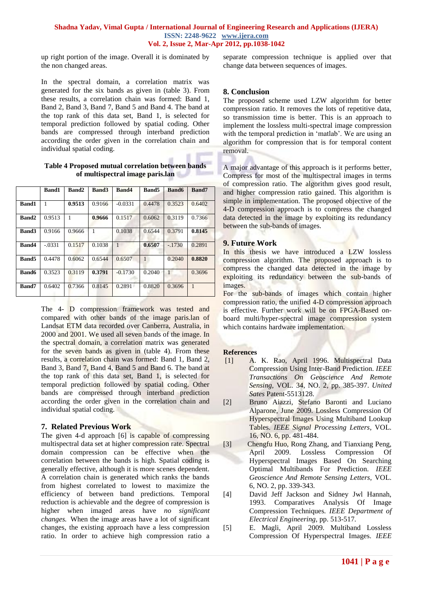# **Shadna Yadav, Vimal Gupta / International Journal of Engineering Research and Applications (IJERA) ISSN: 2248-9622 www.ijera.com Vol. 2, Issue 2, Mar-Apr 2012, pp.1038-1042**

up right portion of the image. Overall it is dominated by the non changed areas.

In the spectral domain, a correlation matrix was generated for the six bands as given in (table 3). From these results, a correlation chain was formed: Band 1, Band 2, Band 3, Band 7, Band 5 and Band 4. The band at the top rank of this data set, Band 1, is selected for temporal prediction followed by spatial coding. Other bands are compressed through interband prediction according the order given in the correlation chain and individual spatial coding.

## **Table 4 Proposed mutual correlation between bands of multispectral image paris.lan**

|              | <b>Band1</b> | Band2  | <b>Band3</b> | Band4        | <b>Band5</b>   | <b>Band6</b> | Band7        |
|--------------|--------------|--------|--------------|--------------|----------------|--------------|--------------|
| <b>Band1</b> | 1            | 0.9513 | 0.9166       | $-0.0331$    | 0.4478         | 0.3523       | 0.6402       |
| Band2        | 0.9513       | 1      | 0.9666       | 0.1517       | 0.6062         | 0.3119       | 0.7366       |
| <b>Band3</b> | 0.9166       | 0.9666 | 1            | 0.1038       | 0.6544         | 0.3791       | 0.8145       |
| Band4        | $-.0331$     | 0.1517 | 0.1038       | $\mathbf{1}$ | 0.6507         | $-.1730$     | 0.2891       |
| <b>Band5</b> | 0.4478       | 0.6062 | 0.6544       | 0.6507       | $\overline{1}$ | 0.2040       | 0.8820       |
| <b>Band6</b> | 0.3523       | 0.3119 | 0.3791       | $-0.1730$    | 0.2040         | $\mathbf{1}$ | 0.3696       |
| Band7        | 0.6402       | 0.7366 | 0.8145       | 0.2891       | 0.8820         | 0.3696       | $\mathbf{1}$ |

The 4- D compression framework was tested and compared with other bands of the image paris.lan of Landsat ETM data recorded over Canberra, Australia, in 2000 and 2001. We used all seven bands of the image. In the spectral domain, a correlation matrix was generated for the seven bands as given in (table 4). From these results, a correlation chain was formed: Band 1, Band 2, Band 3, Band 7, Band 4, Band 5 and Band 6. The band at the top rank of this data set, Band 1, is selected for temporal prediction followed by spatial coding. Other bands are compressed through interband prediction according the order given in the correlation chain and individual spatial coding.

# **7. Related Previous Work**

The given 4-d approach [6] is capable of compressing multispectral data set at higher compression rate. Spectral domain compression can be effective when the correlation between the bands is high. Spatial coding is generally effective, although it is more scenes dependent. A correlation chain is generated which ranks the bands from highest correlated to lowest to maximize the efficiency of between band predictions. Temporal reduction is achievable and the degree of compression is higher when imaged areas have *no significant changes.* When the image areas have a lot of significant changes, the existing approach have a less compression ratio. In order to achieve high compression ratio a separate compression technique is applied over that change data between sequences of images.

# **8. Conclusion**

The proposed scheme used LZW algorithm for better compression ratio. It removes the lots of repetitive data, so transmission time is better. This is an approach to implement the lossless multi-spectral image compression with the temporal prediction in 'matlab'. We are using an algorithm for compression that is for temporal content removal.

A major advantage of this approach is it performs better, Compress for most of the multispectral images in terms of compression ratio. The algorithm gives good result, and higher compression ratio gained. This algorithm is simple in implementation. The proposed objective of the 4-D compression approach is to compress the changed data detected in the image by exploiting its redundancy between the sub-bands of images.

# **9. Future Work**

In this thesis we have introduced a LZW lossless compression algorithm. The proposed approach is to compress the changed data detected in the image by exploiting its redundancy between the sub-bands of images.

For the sub-bands of images which contain higher compression ratio, the unified 4-D compression approach is effective. Further work will be on FPGA-Based onboard multi/hyper-spectral image compression system which contains hardware implementation.

# **References**

- [1] A. K. Rao, April 1996. Multispectral Data Compression Using Inter-Band Prediction. *IEEE Transactions On Geoscience And Remote Sensing,* VOL. 34, NO. 2*,* pp. 385-397. *United Sates* Patent-5513128.
- [2] Bruno Aiazzi, Stefano Baronti and Luciano Alparone, June 2009. Lossless Compression Of Hyperspectral Images Using Multiband Lookup Tables. *IEEE Signal Processing Letters*, VOL. 16, NO. 6, pp. 481-484.
- [3] Chengfu Huo, Rong Zhang, and Tianxiang Peng, April 2009. Lossless Compression Of Hyperspectral Images Based On Searching Optimal Multibands For Prediction. *IEEE Geoscience And Remote Sensing Letters,* VOL. 6, NO. 2, pp. 339-343.
- [4] David Jeff Jackson and Sidney Jwl Hannah, 1993. Comparatives Analysis Of Image Compression Techniques*. IEEE Department of Electrical Engineering,* pp. 513-517*.*
- [5] E. Magli, April 2009. Multiband Lossless Compression Of Hyperspectral Images. *IEEE*